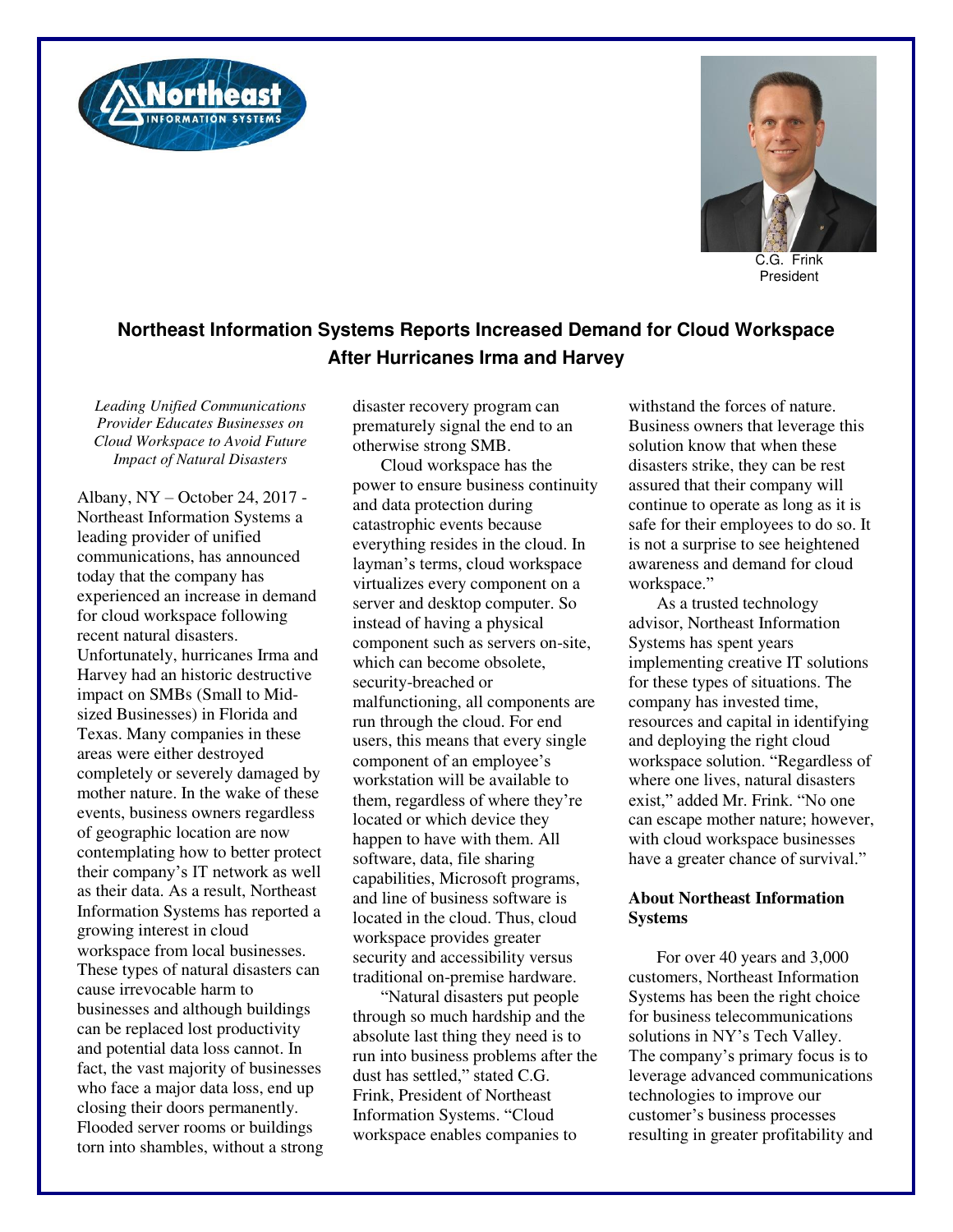



C.G. Frink President

## **Northeast Information Systems Reports Increased Demand for Cloud Workspace After Hurricanes Irma and Harvey**

*Leading Unified Communications Provider Educates Businesses on Cloud Workspace to Avoid Future Impact of Natural Disasters* 

Albany, NY – October 24, 2017 - Northeast Information Systems a leading provider of unified communications, has announced today that the company has experienced an increase in demand for cloud workspace following recent natural disasters. Unfortunately, hurricanes Irma and Harvey had an historic destructive impact on SMBs (Small to Midsized Businesses) in Florida and Texas. Many companies in these areas were either destroyed completely or severely damaged by mother nature. In the wake of these events, business owners regardless of geographic location are now contemplating how to better protect their company's IT network as well as their data. As a result, Northeast Information Systems has reported a growing interest in cloud workspace from local businesses. These types of natural disasters can cause irrevocable harm to businesses and although buildings can be replaced lost productivity and potential data loss cannot. In fact, the vast majority of businesses who face a major data loss, end up closing their doors permanently. Flooded server rooms or buildings torn into shambles, without a strong disaster recovery program can prematurely signal the end to an otherwise strong SMB.

Cloud workspace has the power to ensure business continuity and data protection during catastrophic events because everything resides in the cloud. In layman's terms, cloud workspace virtualizes every component on a server and desktop computer. So instead of having a physical component such as servers on-site, which can become obsolete, security-breached or malfunctioning, all components are run through the cloud. For end users, this means that every single component of an employee's workstation will be available to them, regardless of where they're located or which device they happen to have with them. All software, data, file sharing capabilities, Microsoft programs, and line of business software is located in the cloud. Thus, cloud workspace provides greater security and accessibility versus traditional on-premise hardware.

"Natural disasters put people through so much hardship and the absolute last thing they need is to run into business problems after the dust has settled," stated C.G. Frink, President of Northeast Information Systems. "Cloud workspace enables companies to

withstand the forces of nature. Business owners that leverage this solution know that when these disasters strike, they can be rest assured that their company will continue to operate as long as it is safe for their employees to do so. It is not a surprise to see heightened awareness and demand for cloud workspace."

As a trusted technology advisor, Northeast Information Systems has spent years implementing creative IT solutions for these types of situations. The company has invested time, resources and capital in identifying and deploying the right cloud workspace solution. "Regardless of where one lives, natural disasters exist," added Mr. Frink. "No one can escape mother nature; however, with cloud workspace businesses have a greater chance of survival."

## **About Northeast Information Systems**

For over 40 years and 3,000 customers, Northeast Information Systems has been the right choice for business telecommunications solutions in NY's Tech Valley. The company's primary focus is to leverage advanced communications technologies to improve our customer's business processes resulting in greater profitability and